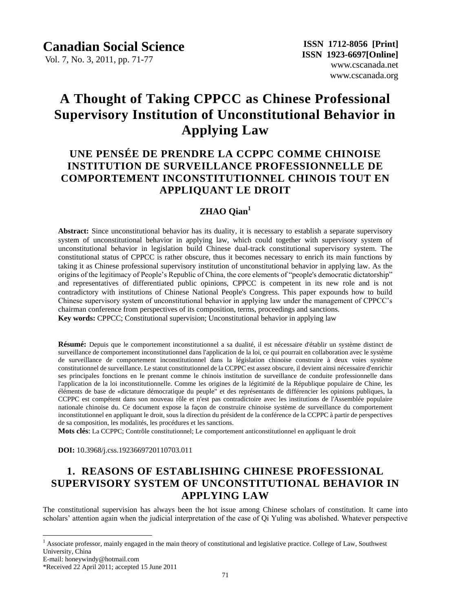Vol. 7, No. 3, 2011, pp. 71-77

# **A Thought of Taking CPPCC as Chinese Professional Supervisory Institution of Unconstitutional Behavior in Applying Law**

# **UNE PENSÉE DE PRENDRE LA CCPPC COMME CHINOISE INSTITUTION DE SURVEILLANCE PROFESSIONNELLE DE COMPORTEMENT INCONSTITUTIONNEL CHINOIS TOUT EN APPLIQUANT LE DROIT**

### **ZHAO Qian<sup>1</sup>**

**Abstract:** Since unconstitutional behavior has its duality, it is necessary to establish a separate supervisory system of unconstitutional behavior in applying law, which could together with supervisory system of unconstitutional behavior in legislation build Chinese dual-track constitutional supervisory system. The constitutional status of CPPCC is rather obscure, thus it becomes necessary to enrich its main functions by taking it as Chinese professional supervisory institution of unconstitutional behavior in applying law. As the origins of the legitimacy of People"s Republic of China, the core elements of "people's democratic dictatorship" and representatives of differentiated public opinions, CPPCC is competent in its new role and is not contradictory with institutions of Chinese National People's Congress. This paper expounds how to build Chinese supervisory system of unconstitutional behavior in applying law under the management of CPPCC"s chairman conference from perspectives of its composition, terms, proceedings and sanctions. **Key words:** CPPCC; Constitutional supervision; Unconstitutional behavior in applying law

**Résumé:** Depuis que le comportement inconstitutionnel a sa dualité, il est nécessaire d'établir un système distinct de surveillance de comportement inconstitutionnel dans l'application de la loi, ce qui pourrait en collaboration avec le système de surveillance de comportement inconstitutionnel dans la législation chinoise construire à deux voies système constitutionnel de surveillance. Le statut constitutionnel de la CCPPC est assez obscure, il devient ainsi nécessaire d'enrichir ses principales fonctions en le prenant comme le chinois institution de surveillance de conduite professionnelle dans l'application de la loi inconstitutionnelle. Comme les origines de la légitimité de la République populaire de Chine, les éléments de base de «dictature démocratique du peuple" et des représentants de différencier les opinions publiques, la CCPPC est compétent dans son nouveau rôle et n'est pas contradictoire avec les institutions de l'Assemblée populaire nationale chinoise du. Ce document expose la façon de construire chinoise système de surveillance du comportement inconstitutionnel en appliquant le droit, sous la direction du président de la conférence de la CCPPC à partir de perspectives de sa composition, les modalités, les procédures et les sanctions.

**Mots clés**: La CCPPC; Contrôle constitutionnel; Le comportement anticonstitutionnel en appliquant le droit

**DOI:** 10.3968/j.css.1923669720110703.011

### **1. REASONS OF ESTABLISHING CHINESE PROFESSIONAL SUPERVISORY SYSTEM OF UNCONSTITUTIONAL BEHAVIOR IN APPLYING LAW**

The constitutional supervision has always been the hot issue among Chinese scholars of constitution. It came into scholars' attention again when the judicial interpretation of the case of Qi Yuling was abolished. Whatever perspective

 $\overline{a}$ 

<sup>&</sup>lt;sup>1</sup> Associate professor, mainly engaged in the main theory of constitutional and legislative practice. College of Law, Southwest University, China

E-mail: honeywindy@hotmail.com

<sup>\*</sup>Received 22 April 2011; accepted 15 June 2011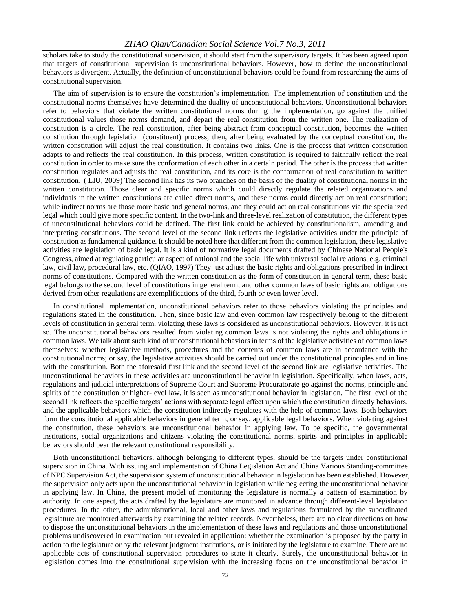scholars take to study the constitutional supervision, it should start from the supervisory targets. It has been agreed upon that targets of constitutional supervision is unconstitutional behaviors. However, how to define the unconstitutional behaviors is divergent. Actually, the definition of unconstitutional behaviors could be found from researching the aims of constitutional supervision.

The aim of supervision is to ensure the constitution"s implementation. The implementation of constitution and the constitutional norms themselves have determined the duality of unconstitutional behaviors. Unconstitutional behaviors refer to behaviors that violate the written constitutional norms during the implementation, go against the unified constitutional values those norms demand, and depart the real constitution from the written one. The realization of constitution is a circle. The real constitution, after being abstract from conceptual constitution, becomes the written constitution through legislation (constituent) process; then, after being evaluated by the conceptual constitution, the written constitution will adjust the real constitution. It contains two links. One is the process that written constitution adapts to and reflects the real constitution. In this process, written constitution is required to faithfully reflect the real constitution in order to make sure the conformation of each other in a certain period. The other is the process that written constitution regulates and adjusts the real constitution, and its core is the conformation of real constitution to written constitution. ( LIU, 2009) The second link has its two branches on the basis of the duality of constitutional norms in the written constitution. Those clear and specific norms which could directly regulate the related organizations and individuals in the written constitutions are called direct norms, and these norms could directly act on real constitution; while indirect norms are those more basic and general norms, and they could act on real constitutions via the specialized legal which could give more specific content. In the two-link and three-level realization of constitution, the different types of unconstitutional behaviors could be defined. The first link could be achieved by constitutionalism, amending and interpreting constitutions. The second level of the second link reflects the legislative activities under the principle of constitution as fundamental guidance. It should be noted here that different from the common legislation, these legislative activities are legislation of basic legal. It is a kind of normative legal documents drafted by Chinese National People's Congress, aimed at regulating particular aspect of national and the social life with universal social relations, e.g. criminal law, civil law, procedural law, etc. (QIAO, 1997) They just adjust the basic rights and obligations prescribed in indirect norms of constitutions. Compared with the written constitution as the form of constitution in general term, these basic legal belongs to the second level of constitutions in general term; and other common laws of basic rights and obligations derived from other regulations are exemplifications of the third, fourth or even lower level.

In constitutional implementation, unconstitutional behaviors refer to those behaviors violating the principles and regulations stated in the constitution. Then, since basic law and even common law respectively belong to the different levels of constitution in general term, violating these laws is considered as unconstitutional behaviors. However, it is not so. The unconstitutional behaviors resulted from violating common laws is not violating the rights and obligations in common laws. We talk about such kind of unconstitutional behaviors in terms of the legislative activities of common laws themselves: whether legislative methods, procedures and the contents of common laws are in accordance with the constitutional norms; or say, the legislative activities should be carried out under the constitutional principles and in line with the constitution. Both the aforesaid first link and the second level of the second link are legislative activities. The unconstitutional behaviors in these activities are unconstitutional behavior in legislation. Specifically, when laws, acts, regulations and judicial interpretations of Supreme Court and Supreme Procuratorate go against the norms, principle and spirits of the constitution or higher-level law, it is seen as unconstitutional behavior in legislation. The first level of the second link reflects the specific targets" actions with separate legal effect upon which the constitution directly behaviors, and the applicable behaviors which the constitution indirectly regulates with the help of common laws. Both behaviors form the constitutional applicable behaviors in general term, or say, applicable legal behaviors. When violating against the constitution, these behaviors are unconstitutional behavior in applying law. To be specific, the governmental institutions, social organizations and citizens violating the constitutional norms, spirits and principles in applicable behaviors should bear the relevant constitutional responsibility.

Both unconstitutional behaviors, although belonging to different types, should be the targets under constitutional supervision in China. With issuing and implementation of China Legislation Act and China Various Standing-committee of NPC Supervision Act, the supervision system of unconstitutional behavior in legislation has been established. However, the supervision only acts upon the unconstitutional behavior in legislation while neglecting the unconstitutional behavior in applying law. In China, the present model of monitoring the legislature is normally a pattern of examination by authority. In one aspect, the acts drafted by the legislature are monitored in advance through different-level legislation procedures. In the other, the administrational, local and other laws and regulations formulated by the subordinated legislature are monitored afterwards by examining the related records. Nevertheless, there are no clear directions on how to dispose the unconstitutional behaviors in the implementation of these laws and regulations and those unconstitutional problems undiscovered in examination but revealed in application: whether the examination is proposed by the party in action to the legislature or by the relevant judgment institutions, or is initiated by the legislature to examine. There are no applicable acts of constitutional supervision procedures to state it clearly. Surely, the unconstitutional behavior in legislation comes into the constitutional supervision with the increasing focus on the unconstitutional behavior in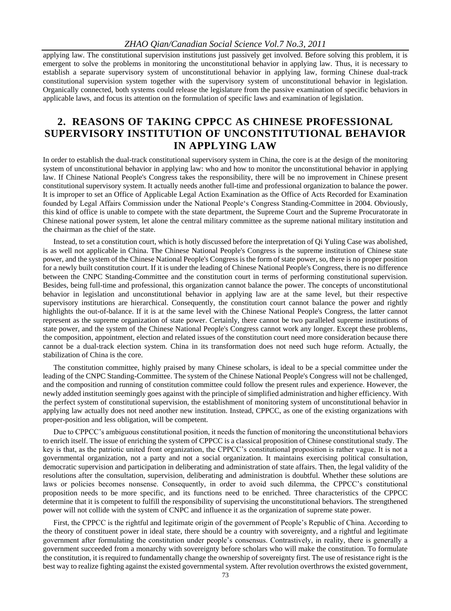applying law. The constitutional supervision institutions just passively get involved. Before solving this problem, it is emergent to solve the problems in monitoring the unconstitutional behavior in applying law. Thus, it is necessary to establish a separate supervisory system of unconstitutional behavior in applying law, forming Chinese dual-track constitutional supervision system together with the supervisory system of unconstitutional behavior in legislation. Organically connected, both systems could release the legislature from the passive examination of specific behaviors in applicable laws, and focus its attention on the formulation of specific laws and examination of legislation.

### **2. REASONS OF TAKING CPPCC AS CHINESE PROFESSIONAL SUPERVISORY INSTITUTION OF UNCONSTITUTIONAL BEHAVIOR IN APPLYING LAW**

In order to establish the dual-track constitutional supervisory system in China, the core is at the design of the monitoring system of unconstitutional behavior in applying law: who and how to monitor the unconstitutional behavior in applying law. If Chinese National People's Congress takes the responsibility, there will be no improvement in Chinese present constitutional supervisory system. It actually needs another full-time and professional organization to balance the power. It is improper to set an Office of Applicable Legal Action Examination as the Office of Acts Recorded for Examination founded by Legal Affairs Commission under the National People"s Congress Standing-Committee in 2004. Obviously, this kind of office is unable to compete with the state department, the Supreme Court and the Supreme Procuratorate in Chinese national power system, let alone the central military committee as the supreme national military institution and the chairman as the chief of the state.

Instead, to set a constitution court, which is hotly discussed before the interpretation of Qi Yuling Case was abolished, is as well not applicable in China. The Chinese National People's Congress is the supreme institution of Chinese state power, and the system of the Chinese National People's Congress is the form of state power, so, there is no proper position for a newly built constitution court. If it is under the leading of Chinese National People's Congress, there is no difference between the CNPC Standing-Committee and the constitution court in terms of performing constitutional supervision. Besides, being full-time and professional, this organization cannot balance the power. The concepts of unconstitutional behavior in legislation and unconstitutional behavior in applying law are at the same level, but their respective supervisory institutions are hierarchical. Consequently, the constitution court cannot balance the power and rightly highlights the out-of-balance. If it is at the same level with the Chinese National People's Congress, the latter cannot represent as the supreme organization of state power. Certainly, there cannot be two paralleled supreme institutions of state power, and the system of the Chinese National People's Congress cannot work any longer. Except these problems, the composition, appointment, election and related issues of the constitution court need more consideration because there cannot be a dual-track election system. China in its transformation does not need such huge reform. Actually, the stabilization of China is the core.

The constitution committee, highly praised by many Chinese scholars, is ideal to be a special committee under the leading of the CNPC Standing-Committee. The system of the Chinese National People's Congress will not be challenged, and the composition and running of constitution committee could follow the present rules and experience. However, the newly added institution seemingly goes against with the principle of simplified administration and higher efficiency. With the perfect system of constitutional supervision, the establishment of monitoring system of unconstitutional behavior in applying law actually does not need another new institution. Instead, CPPCC, as one of the existing organizations with proper-position and less obligation, will be competent.

Due to CPPCC"s ambiguous constitutional position, it needs the function of monitoring the unconstitutional behaviors to enrich itself. The issue of enriching the system of CPPCC is a classical proposition of Chinese constitutional study. The key is that, as the patriotic united front organization, the CPPCC"s constitutional proposition is rather vague. It is not a governmental organization, not a party and not a social organization. It maintains exercising political consultation, democratic supervision and participation in deliberating and administration of state affairs. Then, the legal validity of the resolutions after the consultation, supervision, deliberating and administration is doubtful. Whether these solutions are laws or policies becomes nonsense. Consequently, in order to avoid such dilemma, the CPPCC's constitutional proposition needs to be more specific, and its functions need to be enriched. Three characteristics of the CPPCC determine that it is competent to fulfill the responsibility of supervising the unconstitutional behaviors. The strengthened power will not collide with the system of CNPC and influence it as the organization of supreme state power.

First, the CPPCC is the rightful and legitimate origin of the government of People"s Republic of China. According to the theory of constituent power in ideal state, there should be a country with sovereignty, and a rightful and legitimate government after formulating the constitution under people"s consensus. Contrastively, in reality, there is generally a government succeeded from a monarchy with sovereignty before scholars who will make the constitution. To formulate the constitution, it is required to fundamentally change the ownership of sovereignty first. The use of resistance right is the best way to realize fighting against the existed governmental system. After revolution overthrows the existed government,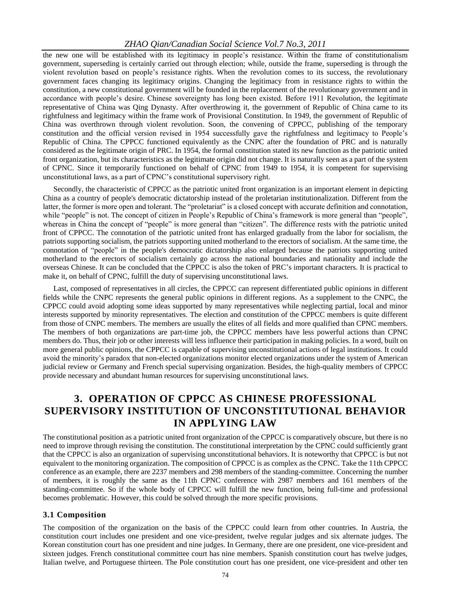the new one will be established with its legitimacy in people"s resistance. Within the frame of constitutionalism government, superseding is certainly carried out through election; while, outside the frame, superseding is through the violent revolution based on people"s resistance rights. When the revolution comes to its success, the revolutionary government faces changing its legitimacy origins. Changing the legitimacy from in resistance rights to within the constitution, a new constitutional government will be founded in the replacement of the revolutionary government and in accordance with people"s desire. Chinese sovereignty has long been existed. Before 1911 Revolution, the legitimate representative of China was Qing Dynasty. After overthrowing it, the government of Republic of China came to its rightfulness and legitimacy within the frame work of Provisional Constitution. In 1949, the government of Republic of China was overthrown through violent revolution. Soon, the convening of CPPCC, publishing of the temporary constitution and the official version revised in 1954 successfully gave the rightfulness and legitimacy to People"s Republic of China. The CPPCC functioned equivalently as the CNPC after the foundation of PRC and is naturally considered as the legitimate origin of PRC. In 1954, the formal constitution stated its new function as the patriotic united front organization, but its characteristics as the legitimate origin did not change. It is naturally seen as a part of the system of CPNC. Since it temporarily functioned on behalf of CPNC from 1949 to 1954, it is competent for supervising unconstitutional laws, as a part of CPNC"s constitutional supervisory right.

Secondly, the characteristic of CPPCC as the patriotic united front organization is an important element in depicting China as a country of people's democratic dictatorship instead of the proletarian institutionalization. Different from the latter, the former is more open and tolerant. The "proletariat" is a closed concept with accurate definition and connotation, while "people" is not. The concept of citizen in People's Republic of China's framework is more general than "people", whereas in China the concept of "people" is more general than "citizen". The difference rests with the patriotic united front of CPPCC. The connotation of the patriotic united front has enlarged gradually from the labor for socialism, the patriots supporting socialism, the patriots supporting united motherland to the erectors of socialism. At the same time, the connotation of "people" in the people's democratic dictatorship also enlarged because the patriots supporting united motherland to the erectors of socialism certainly go across the national boundaries and nationality and include the overseas Chinese. It can be concluded that the CPPCC is also the token of PRC"s important characters. It is practical to make it, on behalf of CPNC, fulfill the duty of supervising unconstitutional laws.

Last, composed of representatives in all circles, the CPPCC can represent differentiated public opinions in different fields while the CNPC represents the general public opinions in different regions. As a supplement to the CNPC, the CPPCC could avoid adopting some ideas supported by many representatives while neglecting partial, local and minor interests supported by minority representatives. The election and constitution of the CPPCC members is quite different from those of CNPC members. The members are usually the elites of all fields and more qualified than CPNC members. The members of both organizations are part-time job, the CPPCC members have less powerful actions than CPNC members do. Thus, their job or other interests will less influence their participation in making policies. In a word, built on more general public opinions, the CPPCC is capable of supervising unconstitutional actions of legal institutions. It could avoid the minority"s paradox that non-elected organizations monitor elected organizations under the system of American judicial review or Germany and French special supervising organization. Besides, the high-quality members of CPPCC provide necessary and abundant human resources for supervising unconstitutional laws.

## **3. OPERATION OF CPPCC AS CHINESE PROFESSIONAL SUPERVISORY INSTITUTION OF UNCONSTITUTIONAL BEHAVIOR IN APPLYING LAW**

The constitutional position as a patriotic united front organization of the CPPCC is comparatively obscure, but there is no need to improve through revising the constitution. The constitutional interpretation by the CPNC could sufficiently grant that the CPPCC is also an organization of supervising unconstitutional behaviors. It is noteworthy that CPPCC is but not equivalent to the monitoring organization. The composition of CPPCC is as complex as the CPNC. Take the 11th CPPCC conference as an example, there are 2237 members and 298 members of the standing-committee. Concerning the number of members, it is roughly the same as the 11th CPNC conference with 2987 members and 161 members of the standing-committee. So if the whole body of CPPCC will fulfill the new function, being full-time and professional becomes problematic. However, this could be solved through the more specific provisions.

#### **3.1 Composition**

The composition of the organization on the basis of the CPPCC could learn from other countries. In Austria, the constitution court includes one president and one vice-president, twelve regular judges and six alternate judges. The Korean constitution court has one president and nine judges. In Germany, there are one president, one vice-president and sixteen judges. French constitutional committee court has nine members. Spanish constitution court has twelve judges, Italian twelve, and Portuguese thirteen. The Pole constitution court has one president, one vice-president and other ten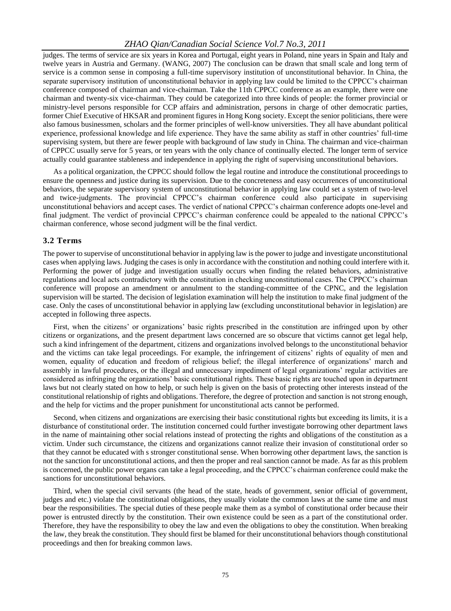judges. The terms of service are six years in Korea and Portugal, eight years in Poland, nine years in Spain and Italy and twelve years in Austria and Germany. (WANG, 2007) The conclusion can be drawn that small scale and long term of service is a common sense in composing a full-time supervisory institution of unconstitutional behavior. In China, the separate supervisory institution of unconstitutional behavior in applying law could be limited to the CPPCC"s chairman conference composed of chairman and vice-chairman. Take the 11th CPPCC conference as an example, there were one chairman and twenty-six vice-chairman. They could be categorized into three kinds of people: the former provincial or ministry-level persons responsible for CCP affairs and administration, persons in charge of other democratic parties, former Chief Executive of HKSAR and prominent figures in Hong Kong society. Except the senior politicians, there were also famous businessmen, scholars and the former principles of well-know universities. They all have abundant political experience, professional knowledge and life experience. They have the same ability as staff in other countries" full-time supervising system, but there are fewer people with background of law study in China. The chairman and vice-chairman of CPPCC usually serve for 5 years, or ten years with the only chance of continually elected. The longer term of service actually could guarantee stableness and independence in applying the right of supervising unconstitutional behaviors.

As a political organization, the CPPCC should follow the legal routine and introduce the constitutional proceedings to ensure the openness and justice during its supervision. Due to the concreteness and easy occurrences of unconstitutional behaviors, the separate supervisory system of unconstitutional behavior in applying law could set a system of two-level and twice-judgments. The provincial CPPCC"s chairman conference could also participate in supervising unconstitutional behaviors and accept cases. The verdict of national CPPCC"s chairman conference adopts one-level and final judgment. The verdict of provincial CPPCC"s chairman conference could be appealed to the national CPPCC"s chairman conference, whose second judgment will be the final verdict.

### **3.2 Terms**

The power to supervise of unconstitutional behavior in applying law is the power to judge and investigate unconstitutional cases when applying laws. Judging the cases is only in accordance with the constitution and nothing could interfere with it. Performing the power of judge and investigation usually occurs when finding the related behaviors, administrative regulations and local acts contradictory with the constitution in checking unconstitutional cases. The CPPCC"s chairman conference will propose an amendment or annulment to the standing-committee of the CPNC, and the legislation supervision will be started. The decision of legislation examination will help the institution to make final judgment of the case. Only the cases of unconstitutional behavior in applying law (excluding unconstitutional behavior in legislation) are accepted in following three aspects.

First, when the citizens" or organizations" basic rights prescribed in the constitution are infringed upon by other citizens or organizations, and the present department laws concerned are so obscure that victims cannot get legal help, such a kind infringement of the department, citizens and organizations involved belongs to the unconstitutional behavior and the victims can take legal proceedings. For example, the infringement of citizens" rights of equality of men and women, equality of education and freedom of religious belief; the illegal interference of organizations" march and assembly in lawful procedures, or the illegal and unnecessary impediment of legal organizations" regular activities are considered as infringing the organizations" basic constitutional rights. These basic rights are touched upon in department laws but not clearly stated on how to help, or such help is given on the basis of protecting other interests instead of the constitutional relationship of rights and obligations. Therefore, the degree of protection and sanction is not strong enough, and the help for victims and the proper punishment for unconstitutional acts cannot be performed.

Second, when citizens and organizations are exercising their basic constitutional rights but exceeding its limits, it is a disturbance of constitutional order. The institution concerned could further investigate borrowing other department laws in the name of maintaining other social relations instead of protecting the rights and obligations of the constitution as a victim. Under such circumstance, the citizens and organizations cannot realize their invasion of constitutional order so that they cannot be educated with s stronger constitutional sense. When borrowing other department laws, the sanction is not the sanction for unconstitutional actions, and then the proper and real sanction cannot be made. As far as this problem is concerned, the public power organs can take a legal proceeding, and the CPPCC"s chairman conference could make the sanctions for unconstitutional behaviors.

Third, when the special civil servants (the head of the state, heads of government, senior official of government, judges and etc.) violate the constitutional obligations, they usually violate the common laws at the same time and must bear the responsibilities. The special duties of these people make them as a symbol of constitutional order because their power is entrusted directly by the constitution. Their own existence could be seen as a part of the constitutional order. Therefore, they have the responsibility to obey the law and even the obligations to obey the constitution. When breaking the law, they break the constitution. They should first be blamed for their unconstitutional behaviors though constitutional proceedings and then for breaking common laws.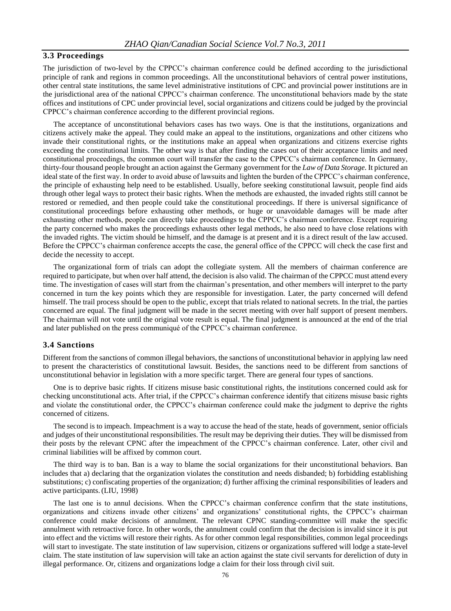### **3.3 Proceedings**

The jurisdiction of two-level by the CPPCC"s chairman conference could be defined according to the jurisdictional principle of rank and regions in common proceedings. All the unconstitutional behaviors of central power institutions, other central state institutions, the same level administrative institutions of CPC and provincial power institutions are in the jurisdictional area of the national CPPCC"s chairman conference. The unconstitutional behaviors made by the state offices and institutions of CPC under provincial level, social organizations and citizens could be judged by the provincial CPPCC"s chairman conference according to the different provincial regions.

The acceptance of unconstitutional behaviors cases has two ways. One is that the institutions, organizations and citizens actively make the appeal. They could make an appeal to the institutions, organizations and other citizens who invade their constitutional rights, or the institutions make an appeal when organizations and citizens exercise rights exceeding the constitutional limits. The other way is that after finding the cases out of their acceptance limits and need constitutional proceedings, the common court will transfer the case to the CPPCC"s chairman conference. In Germany, thirty-four thousand people brought an action against the Germany government for the *Law of Data Storage*. It pictured an ideal state of the first way. In order to avoid abuse of lawsuits and lighten the burden of the CPPCC"s chairman conference, the principle of exhausting help need to be established. Usually, before seeking constitutional lawsuit, people find aids through other legal ways to protect their basic rights. When the methods are exhausted, the invaded rights still cannot be restored or remedied, and then people could take the constitutional proceedings. If there is universal significance of constitutional proceedings before exhausting other methods, or huge or unavoidable damages will be made after exhausting other methods, people can directly take proceedings to the CPPCC"s chairman conference. Except requiring the party concerned who makes the proceedings exhausts other legal methods, he also need to have close relations with the invaded rights. The victim should be himself, and the damage is at present and it is a direct result of the law accused. Before the CPPCC"s chairman conference accepts the case, the general office of the CPPCC will check the case first and decide the necessity to accept.

The organizational form of trials can adopt the collegiate system. All the members of chairman conference are required to participate, but when over half attend, the decision is also valid. The chairman of the CPPCC must attend every time. The investigation of cases will start from the chairman"s presentation, and other members will interpret to the party concerned in turn the key points which they are responsible for investigation. Later, the party concerned will defend himself. The trail process should be open to the public, except that trials related to national secrets. In the trial, the parties concerned are equal. The final judgment will be made in the secret meeting with over half support of present members. The chairman will not vote until the original vote result is equal. The final judgment is announced at the end of the trial and later published on the press communiqué of the CPPCC"s chairman conference.

### **3.4 Sanctions**

Different from the sanctions of common illegal behaviors, the sanctions of unconstitutional behavior in applying law need to present the characteristics of constitutional lawsuit. Besides, the sanctions need to be different from sanctions of unconstitutional behavior in legislation with a more specific target. There are general four types of sanctions.

One is to deprive basic rights. If citizens misuse basic constitutional rights, the institutions concerned could ask for checking unconstitutional acts. After trial, if the CPPCC"s chairman conference identify that citizens misuse basic rights and violate the constitutional order, the CPPCC"s chairman conference could make the judgment to deprive the rights concerned of citizens.

The second is to impeach. Impeachment is a way to accuse the head of the state, heads of government, senior officials and judges of their unconstitutional responsibilities. The result may be depriving their duties. They will be dismissed from their posts by the relevant CPNC after the impeachment of the CPPCC"s chairman conference. Later, other civil and criminal liabilities will be affixed by common court.

The third way is to ban. Ban is a way to blame the social organizations for their unconstitutional behaviors. Ban includes that a) declaring that the organization violates the constitution and needs disbanded; b) forbidding establishing substitutions; c) confiscating properties of the organization; d) further affixing the criminal responsibilities of leaders and active participants. (LIU, 1998)

The last one is to annul decisions. When the CPPCC"s chairman conference confirm that the state institutions, organizations and citizens invade other citizens" and organizations" constitutional rights, the CPPCC"s chairman conference could make decisions of annulment. The relevant CPNC standing-committee will make the specific annulment with retroactive force. In other words, the annulment could confirm that the decision is invalid since it is put into effect and the victims will restore their rights. As for other common legal responsibilities, common legal proceedings will start to investigate. The state institution of law supervision, citizens or organizations suffered will lodge a state-level claim. The state institution of law supervision will take an action against the state civil servants for dereliction of duty in illegal performance. Or, citizens and organizations lodge a claim for their loss through civil suit.